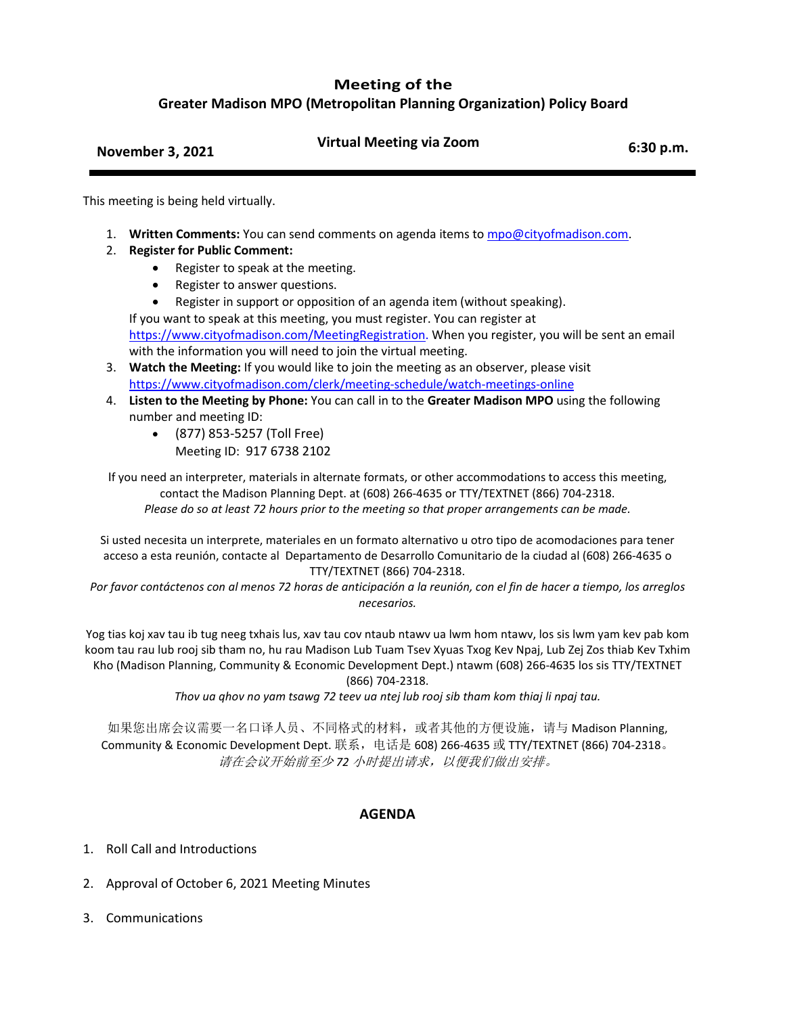## **Meeting of the**

**Greater Madison MPO (Metropolitan Planning Organization) Policy Board**

| <b>November 3, 2021</b> | <b>Virtual Meeting via Zoom</b> | 6:30 p.m. |
|-------------------------|---------------------------------|-----------|
|                         |                                 |           |

This meeting is being held virtually.

- 1. **Written Comments:** You can send comments on agenda items to [mpo@cityofmadison.com.](mailto:mpo@cityofmadison.com)
- 2. **Register for Public Comment:**
	- Register to speak at the meeting.
	- Register to answer questions.
	- Register in support or opposition of an agenda item (without speaking).

If you want to speak at this meeting, you must register. You can register at [https://www.cityofmadison.com/MeetingRegistration.](https://www.cityofmadison.com/MeetingRegistration) When you register, you will be sent an email with the information you will need to join the virtual meeting.

- 3. **Watch the Meeting:** If you would like to join the meeting as an observer, please visit <https://www.cityofmadison.com/clerk/meeting-schedule/watch-meetings-online>
- 4. **Listen to the Meeting by Phone:** You can call in to the **Greater Madison MPO** using the following number and meeting ID:
	- (877) 853-5257 (Toll Free) Meeting ID: 917 6738 2102

If you need an interpreter, materials in alternate formats, or other accommodations to access this meeting, contact the Madison Planning Dept. at (608) 266-4635 or TTY/TEXTNET (866) 704-2318. *Please do so at least 72 hours prior to the meeting so that proper arrangements can be made.*

Si usted necesita un interprete, materiales en un formato alternativo u otro tipo de acomodaciones para tener acceso a esta reunión, contacte al Departamento de Desarrollo Comunitario de la ciudad al (608) 266-4635 o TTY/TEXTNET (866) 704-2318.

*Por favor contáctenos con al menos 72 horas de anticipación a la reunión, con el fin de hacer a tiempo, los arreglos necesarios.*

Yog tias koj xav tau ib tug neeg txhais lus, xav tau cov ntaub ntawv ua lwm hom ntawv, los sis lwm yam kev pab kom koom tau rau lub rooj sib tham no, hu rau Madison Lub Tuam Tsev Xyuas Txog Kev Npaj, Lub Zej Zos thiab Kev Txhim Kho (Madison Planning, Community & Economic Development Dept.) ntawm (608) 266-4635 los sis TTY/TEXTNET (866) 704-2318.

*Thov ua qhov no yam tsawg 72 teev ua ntej lub rooj sib tham kom thiaj li npaj tau.*

如果您出席会议需要一名口译人员、不同格式的材料,或者其他的方便设施,请与 Madison Planning, Community & Economic Development Dept. 联系,电话是 608) 266-4635 或 TTY/TEXTNET (866) 704-2318。 请在会议开始前至少 *72* 小时提出请求,以便我们做出安排。

## **AGENDA**

- 1. Roll Call and Introductions
- 2. Approval of October 6, 2021 Meeting Minutes
- 3. Communications